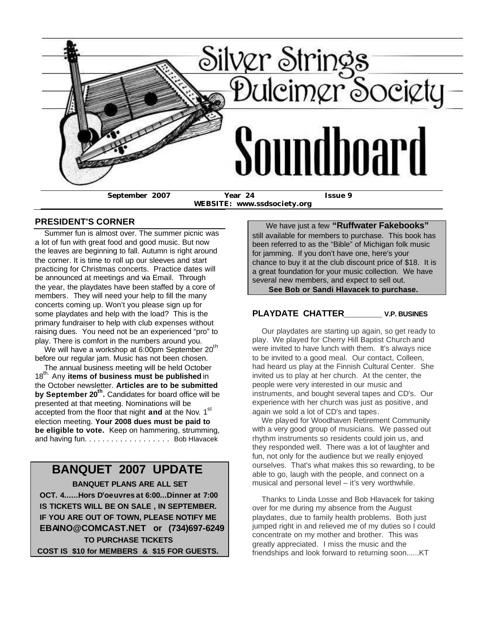

**WEBSITE: www.ssdsociety.org**

### **PRESIDENT'S CORNER**

 Summer fun is almost over. The summer picnic was a lot of fun with great food and good music. But now the leaves are beginning to fall. Autumn is right around the corner. It is time to roll up our sleeves and start practicing for Christmas concerts. Practice dates will be announced at meetings and via Email. Through the year, the playdates have been staffed by a core of members. They will need your help to fill the many concerts coming up. Won't you please sign up for some playdates and help with the load? This is the primary fundraiser to help with club expenses without raising dues. You need not be an experienced "pro" to play. There is comfort in the numbers around you.

We will have a workshop at 6:00pm September  $20^{th}$ before our regular jam. Music has not been chosen.

 The annual business meeting will be held October 18<sup>th.</sup> Any **items of business must be published** in the October newsletter. **Articles are to be submitted by September 20th .** Candidates for board office will be presented at that meeting. Nominations will be accepted from the floor that night and at the Nov. 1<sup>st</sup> election meeting. **Your 2008 dues must be paid to be eligible to vote.** Keep on hammering, strumming, and having fun. . . . . . . . . . . . . . . . . . . Bob Hlavacek

# **BANQUET 2007 UPDATE**

 **BANQUET PLANS ARE ALL SET OCT. 4......Hors D'oeuvres at 6:00...Dinner at 7:00 IS TICKETS WILL BE ON SALE , IN SEPTEMBER. IF YOU ARE OUT OF TOWN, PLEASE NOTIFY ME EBAINO@COMCAST.NET or (734)697-6249 TO PURCHASE TICKETS COST IS \$10 for MEMBERS & \$15 FOR GUESTS.**

 We have just a few **"Ruffwater Fakebooks"** still available for members to purchase. This book has been referred to as the "Bible" of Michigan folk music for jamming. If you don't have one, here's your chance to buy it at the club discount price of \$18. It is a great foundation for your music collection. We have several new members, and expect to sell out. **See Bob or Sandi Hlavacek to purchase.**

## **PLAYDATE CHATTER\_\_\_\_\_\_\_\_ V.P. BUSINES**

 Our playdates are starting up again, so get ready to play. We played for Cherry Hill Baptist Church and were invited to have lunch with them. It's always nice to be invited to a good meal. Our contact, Colleen, had heard us play at the Finnish Cultural Center. She invited us to play at her church. At the center, the people were very interested in our music and instruments, and bought several tapes and CD's. Our experience with her church was just as positive, and again we sold a lot of CD's and tapes.

 We played for Woodhaven Retirement Community with a very good group of musicians. We passed out rhythm instruments so residents could join us, and they responded well. There was a lot of laughter and fun, not only for the audience but we really enjoyed ourselves. That's what makes this so rewarding, to be able to go, laugh with the people, and connect on a musical and personal level – it's very worthwhile.

 Thanks to Linda Losse and Bob Hlavacek for taking over for me during my absence from the August playdates, due to family health problems. Both just jumped right in and relieved me of my duties so I could concentrate on my mother and brother. This was greatly appreciated. I miss the music and the friendships and look forward to returning soon......KT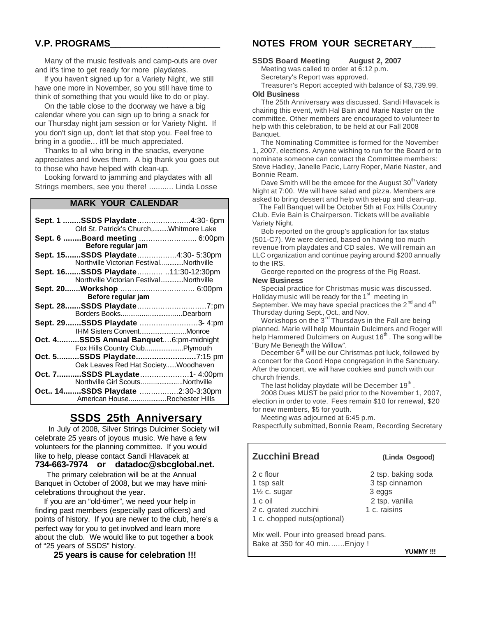## **V.P. PROGRAMS\_\_\_\_\_\_\_\_\_\_\_\_\_\_\_\_\_\_\_\_\_**

 Many of the music festivals and camp-outs are over and it's time to get ready for more playdates.

 If you haven't signed up for a Variety Night, we still have one more in November, so you still have time to think of something that you would like to do or play.

 On the table close to the doorway we have a big calendar where you can sign up to bring a snack for our Thursday night jam session or for Variety Night. If you don't sign up, don't let that stop you. Feel free to bring in a goodie... it'll be much appreciated.

 Thanks to all who bring in the snacks, everyone appreciates and loves them. A big thank you goes out to those who have helped with clean-up.

 Looking forward to jamming and playdates with all Strings members, see you there! ........... Linda Losse

### **MARK YOUR CALENDAR**

| Sept. 1 SSDS Playdate4:30-6pm           |  |  |  |  |
|-----------------------------------------|--|--|--|--|
| Old St. Patrick's Church,Whitmore Lake  |  |  |  |  |
| Sept. 6  Board meeting  6:00pm          |  |  |  |  |
| Before regular jam                      |  |  |  |  |
| Sept. 15SSDS Playdate4:30- 5:30pm       |  |  |  |  |
| Northville Victorian FestivalNorthville |  |  |  |  |
| Sept. 16SSDS Playdate 11:30-12:30pm     |  |  |  |  |
| Northville Victorian FestivalNorthville |  |  |  |  |
| Sept. 20 Workshop  6:00pm               |  |  |  |  |
| Before regular jam                      |  |  |  |  |
|                                         |  |  |  |  |
| Borders BooksDearborn                   |  |  |  |  |
| Sept. 29SSDS Playdate 3-4:pm            |  |  |  |  |
| IHM Sisters ConventMonroe               |  |  |  |  |
| Oct. 4SSDS Annual Banquet6:pm-midnight  |  |  |  |  |
| Fox Hills Country ClubPlymouth          |  |  |  |  |
| Oct. 5SSDS Playdate7:15 pm              |  |  |  |  |
| Oak Leaves Red Hat SocietyWoodhaven     |  |  |  |  |
| Oct. 7SSDS PLaydate1- 4:00pm            |  |  |  |  |
| Northville Girl ScoutsNorthville        |  |  |  |  |
| Oct 14SSDS Playdate 2:30-3:30pm         |  |  |  |  |
| American HouseRochester Hills           |  |  |  |  |

## **SSDS 25th Anniversary**

 In July of 2008, Silver Strings Dulcimer Society will celebrate 25 years of joyous music. We have a few volunteers for the planning committee. If you would like to help, please contact Sandi Hlavacek at **734-663-7974 or datadoc@sbcglobal.net.**

 The primary celebration will be at the Annual Banquet in October of 2008, but we may have minicelebrations throughout the year.

 If you are an "old-timer", we need your help in finding past members (especially past officers) and points of history. If you are newer to the club, here's a perfect way for you to get involved and learn more about the club. We would like to put together a book of "25 years of SSDS" history.

 **25 years is cause for celebration !!!**

## **NOTES FROM YOUR SECRETARY\_\_\_\_\_**

#### **SSDS Board Meeting August 2, 2007**

 Meeting was called to order at 6:12 p.m. Secretary's Report was approved. Treasurer's Report accepted with balance of \$3,739.99.

#### **Old Business**

 The 25th Anniversary was discussed. Sandi Hlavacek is chairing this event, with Hal Bain and Marie Naster on the committee. Other members are encouraged to volunteer to help with this celebration, to be held at our Fall 2008 Banquet.

 The Nominating Committee is formed for the November 1, 2007, elections. Anyone wishing to run for the Board or to nominate someone can contact the Committee members: Steve Hadley, Janelle Pacic, Larry Roper, Marie Naster, and Bonnie Ream.

Dave Smith will be the emcee for the August 30<sup>th</sup> Variety Night at 7:00. We will have salad and pizza. Members are asked to bring dessert and help with set-up and clean-up.

 The Fall Banquet will be October 5th at Fox Hills Country Club. Evie Bain is Chairperson. Tickets will be available Variety Night.

 Bob reported on the group's application for tax status (501-C7). We were denied, based on having too much revenue from playdates and CD sales. We will remain an LLC organization and continue paying around \$200 annually to the IRS.

George reported on the progress of the Pig Roast.

#### **New Business**

 Special practice for Christmas music was discussed. Holiday music will be ready for the 1<sup>st</sup> meeting in September. We may have special practices the  $2^{nd}$  and  $4^{th}$ Thursday during Sept., Oct., and Nov.

Workshops on the 3<sup>rd</sup> Thursdays in the Fall are being planned. Marie will help Mountain Dulcimers and Roger will help Hammered Dulcimers on August 16 $^{\text{th}}$  . The song will be "Bury Me Beneath the Willow".

December  $6<sup>th</sup>$  will be our Christmas pot luck, followed by a concert for the Good Hope congregation in the Sanctuary. After the concert, we will have cookies and punch with our church friends.

The last holiday playdate will be December 19<sup>th</sup>.

 2008 Dues MUST be paid prior to the November 1, 2007, election in order to vote. Fees remain \$10 for renewal, \$20 for new members, \$5 for youth.

Meeting was adjourned at 6:45 p.m.

Respectfully submitted, Bonnie Ream, Recording Secretary

|                                                                          | Zucchini Bread                                                                                                       | (Linda Osgood)                                                                   |
|--------------------------------------------------------------------------|----------------------------------------------------------------------------------------------------------------------|----------------------------------------------------------------------------------|
|                                                                          | 2 c flour<br>1 tsp salt<br>$1\frac{1}{2}$ c. sugar<br>1 c oil<br>2 c. grated zucchini<br>1 c. chopped nuts(optional) | 2 tsp. baking soda<br>3 tsp cinnamon<br>3 eggs<br>2 tsp. vanilla<br>1 c. raisins |
| Mix well. Pour into greased bread pans.<br>Bake at 350 for 40 minEnjoy ! |                                                                                                                      |                                                                                  |

 **YUMMY !!!**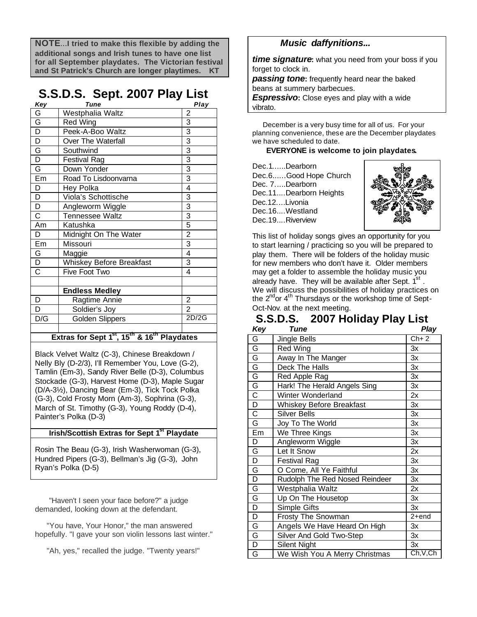**NOTE**...**I tried to make this flexible by adding the additional songs and Irish tunes to have one list for all September playdates. The Victorian festival and St Patrick's Church are longer playtimes. KT**

# **S.S.D.S. Sept. 2007 Play List**

| Key                                                                          | <b>Tune</b>              | Play                    |  |  |
|------------------------------------------------------------------------------|--------------------------|-------------------------|--|--|
| G                                                                            | Westphalia Waltz         | 2                       |  |  |
| $\overline{\mathsf{G}}$                                                      | Red Wing                 | $\overline{3}$          |  |  |
| $\overline{\mathsf{D}}$                                                      | Peek-A-Boo Waltz         | $\overline{3}$          |  |  |
| $\overline{D}$                                                               | Over The Waterfall       | 3                       |  |  |
| G                                                                            | Southwind                | 3                       |  |  |
| $\overline{\mathsf{D}}$                                                      | Festival Rag             | $\overline{3}$          |  |  |
| G                                                                            | Down Yonder              | $\overline{3}$          |  |  |
| Em                                                                           | Road To Lisdoonvarna     | $\overline{3}$          |  |  |
| D                                                                            | Hey Polka                | 4                       |  |  |
| $\overline{\mathsf{D}}$                                                      | Viola's Schottische      | 3                       |  |  |
| $\overline{D}$                                                               | Angleworm Wiggle         | $\overline{3}$          |  |  |
| $\overline{\text{c}}$                                                        | Tennessee Waltz          | $\overline{3}$          |  |  |
| Am                                                                           | Katushka                 | 5                       |  |  |
| D                                                                            | Midnight On The Water    | $\overline{\mathbf{c}}$ |  |  |
| Em                                                                           | Missouri                 | $\overline{3}$          |  |  |
| G                                                                            | Maggie                   | $\overline{4}$          |  |  |
| $\overline{\mathsf{D}}$                                                      | Whiskey Before Breakfast | 3                       |  |  |
| $\overline{\text{c}}$                                                        | Five Foot Two            | 4                       |  |  |
|                                                                              |                          |                         |  |  |
|                                                                              | <b>Endless Medley</b>    |                         |  |  |
| D                                                                            | Ragtime Annie            | $\overline{2}$          |  |  |
| D                                                                            | Soldier's Joy            | $\overline{2}$          |  |  |
| D/G                                                                          | Golden Slippers          | 2D/2G                   |  |  |
|                                                                              |                          |                         |  |  |
| Extractor Sont 1 <sup>St</sup> 15 <sup>th</sup> 8 16 <sup>th</sup> Playdatos |                          |                         |  |  |

**Extras for Sept 1st, 15th & 16th Playdates**

Black Velvet Waltz (C-3), Chinese Breakdown / Nelly Bly (D-2/3), I'll Remember You, Love (G-2), Tamlin (Em-3), Sandy River Belle (D-3), Columbus Stockade (G-3), Harvest Home (D-3), Maple Sugar (D/A-3½), Dancing Bear (Em-3), Tick Tock Polka (G-3), Cold Frosty Morn (Am-3), Sophrina (G-3), March of St. Timothy (G-3), Young Roddy (D-4), Painter's Polka (D-3)

### **Irish/Scottish Extras for Sept 1st Playdate**

Rosin The Beau (G-3), Irish Washerwoman (G-3), Hundred Pipers (G-3), Bellman's Jig (G-3), John Ryan's Polka (D-5)

 "Haven't I seen your face before?" a judge demanded, looking down at the defendant.

 "You have, Your Honor," the man answered hopefully. "I gave your son violin lessons last winter."

"Ah, yes," recalled the judge. "Twenty years!"

## *Music daffynitions...*

*time signature***:** what you need from your boss if you forget to clock in.

*passing tone***:** frequently heard near the baked beans at summery barbecues.

*Espressivo:* Close eyes and play with a wide vibrato.

 December is a very busy time for all of us. For your planning convenience, these are the December playdates we have scheduled to date.

### **EVERYONE is welcome to join playdates.**

| Dec.1Dearborn          |
|------------------------|
| Dec.6Good Hope Church  |
| Dec. 7Dearborn         |
| Dec.11Dearborn Heights |
| Dec.12Livonia          |
| Dec.16, Westland       |
| Dec.19Riverview        |



This list of holiday songs gives an opportunity for you to start learning / practicing so you will be prepared to play them. There will be folders of the holiday music for new members who don't have it. Older members may get a folder to assemble the holiday music you already have. They will be available after Sept.  $1^{\text{st}}$ . We will discuss the possibilities of holiday practices on the 2<sup>nd</sup> or 4<sup>th</sup> Thursdays or the workshop time of Sept-Oct-Nov. at the next meeting.

## **S.S.D.S. 2007 Holiday Play List**  *Key Tune Play*

| rey                     | i une                          | гіау                                            |
|-------------------------|--------------------------------|-------------------------------------------------|
| G                       | Jingle Bells                   | $Ch+2$                                          |
| G                       | <b>Red Wing</b>                | Зx                                              |
| G                       | Away In The Manger             | Зx                                              |
| G                       | Deck The Halls                 | Зx                                              |
| G                       | Red Apple Rag                  | Зx                                              |
| G                       | Hark! The Herald Angels Sing   | Зx                                              |
| $\overline{\text{c}}$   | Winter Wonderland              | 2x                                              |
| $\overline{\mathsf{D}}$ | Whiskey Before Breakfast       | Зx                                              |
| $\overline{\text{c}}$   | <b>Silver Bells</b>            | 3x                                              |
| G                       | Joy To The World               | Зx                                              |
| Em                      | We Three Kings                 | 3x                                              |
| D                       | Angleworm Wiggle               | Зx                                              |
| G                       | Let It Snow                    | 2x                                              |
| D                       | <b>Festival Rag</b>            | Зx                                              |
| G                       | O Come, All Ye Faithful        | Зx                                              |
| D                       | Rudolph The Red Nosed Reindeer | Зx                                              |
| G                       | Westphalia Waltz               | 2x                                              |
| G                       | Up On The Housetop             | Зx                                              |
| $\overline{\mathsf{D}}$ | Simple Gifts                   | Зx                                              |
| D                       | Frosty The Snowman             | 2+end                                           |
| G                       | Angels We Have Heard On High   | Зx                                              |
| G                       | Silver And Gold Two-Step       | Зx                                              |
| D                       | <b>Silent Night</b>            | 3x                                              |
| G                       | We Wish You A Merry Christmas  | $\overline{\mathsf{Ch},\mathsf{V}},\mathsf{Ch}$ |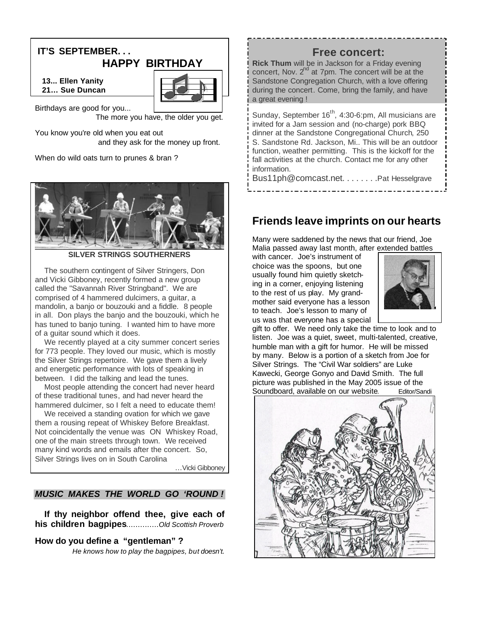## **IT'S SEPTEMBER. . . HAPPY BIRTHDAY**

 **13... Ellen Yanity 21… Sue Duncan**



Birthdays are good for you... The more you have, the older you get.

You know you're old when you eat out and they ask for the money up front.

When do wild oats turn to prunes & bran ?



**VER STRINGS SOUTHERNERS** 

 The southern contingent of Silver Stringers, Don and Vicki Gibboney, recently formed a new group called the "Savannah River Stringband". We are comprised of 4 hammered dulcimers, a guitar, a mandolin, a banjo or bouzouki and a fiddle. 8 people in all. Don plays the banjo and the bouzouki, which he has tuned to banjo tuning. I wanted him to have more of a guitar sound which it does.

 We recently played at a city summer concert series for 773 people. They loved our music, which is mostly the Silver Strings repertoire. We gave them a lively and energetic performance with lots of speaking in between. I did the talking and lead the tunes.

 Most people attending the concert had never heard of these traditional tunes, and had never heard the hammered dulcimer, so I felt a need to educate them!

 We received a standing ovation for which we gave them a rousing repeat of Whiskey Before Breakfast. Not coincidentally the venue was ON Whiskey Road, one of the main streets through town. We received many kind words and emails after the concert. So, Silver Strings lives on in South Carolina

...Vicki Gibboney

### *MUSIC MAKES THE WORLD GO 'ROUND !*

 **If thy neighbor offend thee, give each of his children bagpipes**..............*Old Scottish Proverb*

### **How do you define a "gentleman" ?**

*He knows how to play the bagpipes, but doesn't.*

## **Free concert:**

**Rick Thum** will be in Jackson for a Friday evening concert, Nov.  $2<sup>nd</sup>$  at 7pm. The concert will be at the Sandstone Congregation Church, with a love offering during the concert. Come, bring the family, and have a great evening !

Sunday, September 16<sup>th</sup>, 4:30-6:pm, All musicians are invited for a Jam session and (no-charge) pork BBQ dinner at the Sandstone Congregational Church, 250 S. Sandstone Rd. Jackson, Mi.. This will be an outdoor function, weather permitting. This is the kickoff for the fall activities at the church. Contact me for any other information.

Bus11ph@comcast.net. . . . . . . . . Pat Hesselgrave

# **Friends leave imprints on our hearts**

Many were saddened by the news that our friend, Joe Malia passed away last month, after extended battles

with cancer. Joe's instrument of choice was the spoons, but one usually found him quietly sketching in a corner, enjoying listening to the rest of us play. My grandmother said everyone has a lesson to teach. Joe's lesson to many of us was that everyone has a special



gift to offer. We need only take the time to look and to listen. Joe was a quiet, sweet, multi-talented, creative, humble man with a gift for humor. He will be missed by many. Below is a portion of a sketch from Joe for Silver Strings. The "Civil War soldiers" are Luke Kawecki, George Gonyo and David Smith. The full picture was published in the May 2005 issue of the Soundboard, available on our website. Editor/Sandi